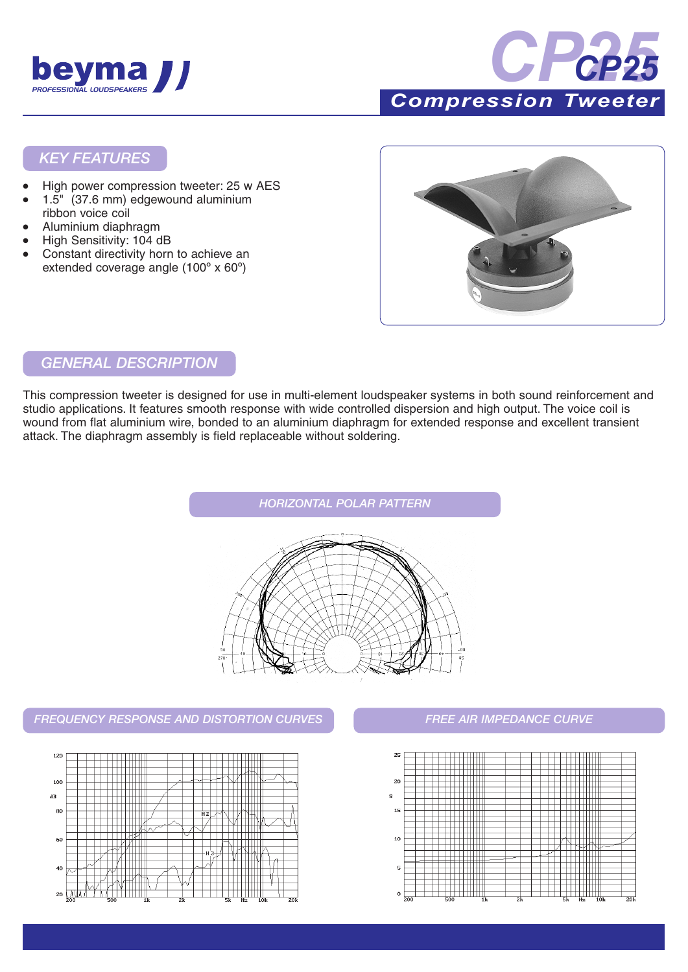



### *KEY FEATURES*

- High power compression tweeter: 25 w AES
- 1.5" (37.6 mm) edgewound aluminium ribbon voice coil
- Aluminium diaphragm
- High Sensitivity: 104 dB
- Constant directivity horn to achieve an extended coverage angle (100º x 60º)



### *GENERAL DESCRIPTION*

This compression tweeter is designed for use in multi-element loudspeaker systems in both sound reinforcement and studio applications. It features smooth response with wide controlled dispersion and high output. The voice coil is wound from flat aluminium wire, bonded to an aluminium diaphragm for extended response and excellent transient attack. The diaphragm assembly is field replaceable without soldering.



### *FREQUENCY RESPONSE AND DISTORTION CURVES FREE AIR IMPEDANCE CURVE*